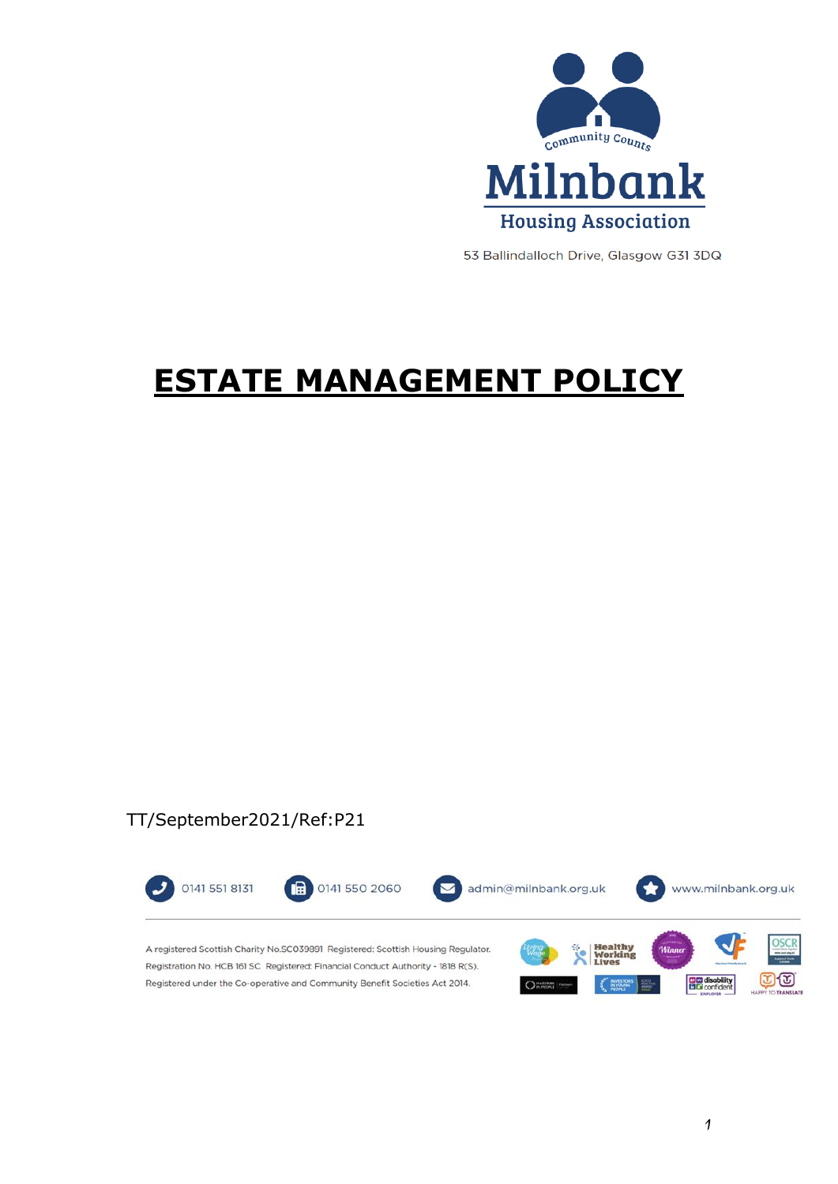

53 Ballindalloch Drive, Glasgow G31 3DQ

# **ESTATE MANAGEMENT POLICY**

## TT/September2021/Ref:P21

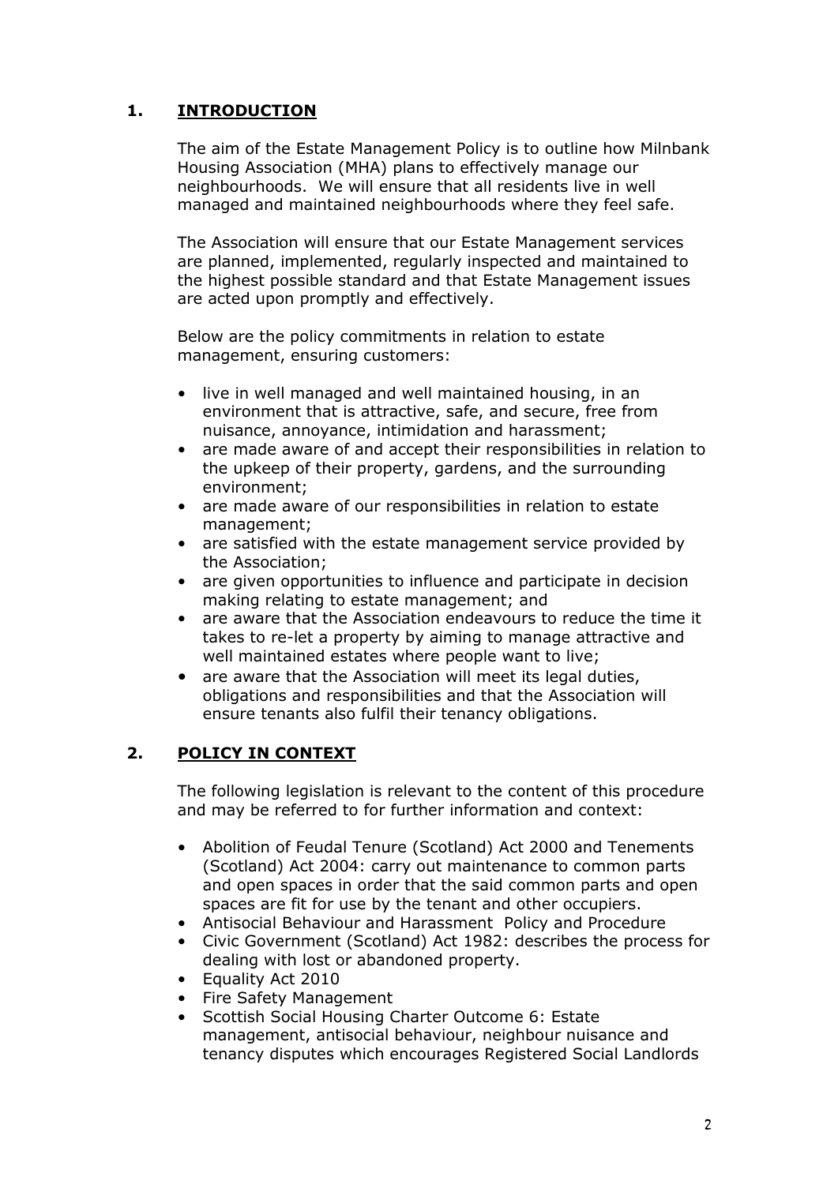## **1. INTRODUCTION**

The aim of the Estate Management Policy is to outline how Milnbank Housing Association (MHA) plans to effectively manage our neighbourhoods. We will ensure that all residents live in well managed and maintained neighbourhoods where they feel safe.

The Association will ensure that our Estate Management services are planned, implemented, regularly inspected and maintained to the highest possible standard and that Estate Management issues are acted upon promptly and effectively.

Below are the policy commitments in relation to estate management, ensuring customers:

- live in well managed and well maintained housing, in an environment that is attractive, safe, and secure, free from nuisance, annoyance, intimidation and harassment;
- are made aware of and accept their responsibilities in relation to the upkeep of their property, gardens, and the surrounding environment;
- are made aware of our responsibilities in relation to estate management;
- are satisfied with the estate management service provided by the Association;
- are given opportunities to influence and participate in decision making relating to estate management; and
- are aware that the Association endeavours to reduce the time it takes to re-let a property by aiming to manage attractive and well maintained estates where people want to live;
- are aware that the Association will meet its legal duties, obligations and responsibilities and that the Association will ensure tenants also fulfil their tenancy obligations.

## **2. POLICY IN CONTEXT**

The following legislation is relevant to the content of this procedure and may be referred to for further information and context:

- Abolition of Feudal Tenure (Scotland) Act 2000 and Tenements (Scotland) Act 2004: carry out maintenance to common parts and open spaces in order that the said common parts and open spaces are fit for use by the tenant and other occupiers.
- Antisocial Behaviour and Harassment Policy and Procedure
- Civic Government (Scotland) Act 1982: describes the process for dealing with lost or abandoned property.
- Equality Act 2010
- Fire Safety Management
- Scottish Social Housing Charter Outcome 6: Estate management, antisocial behaviour, neighbour nuisance and tenancy disputes which encourages Registered Social Landlords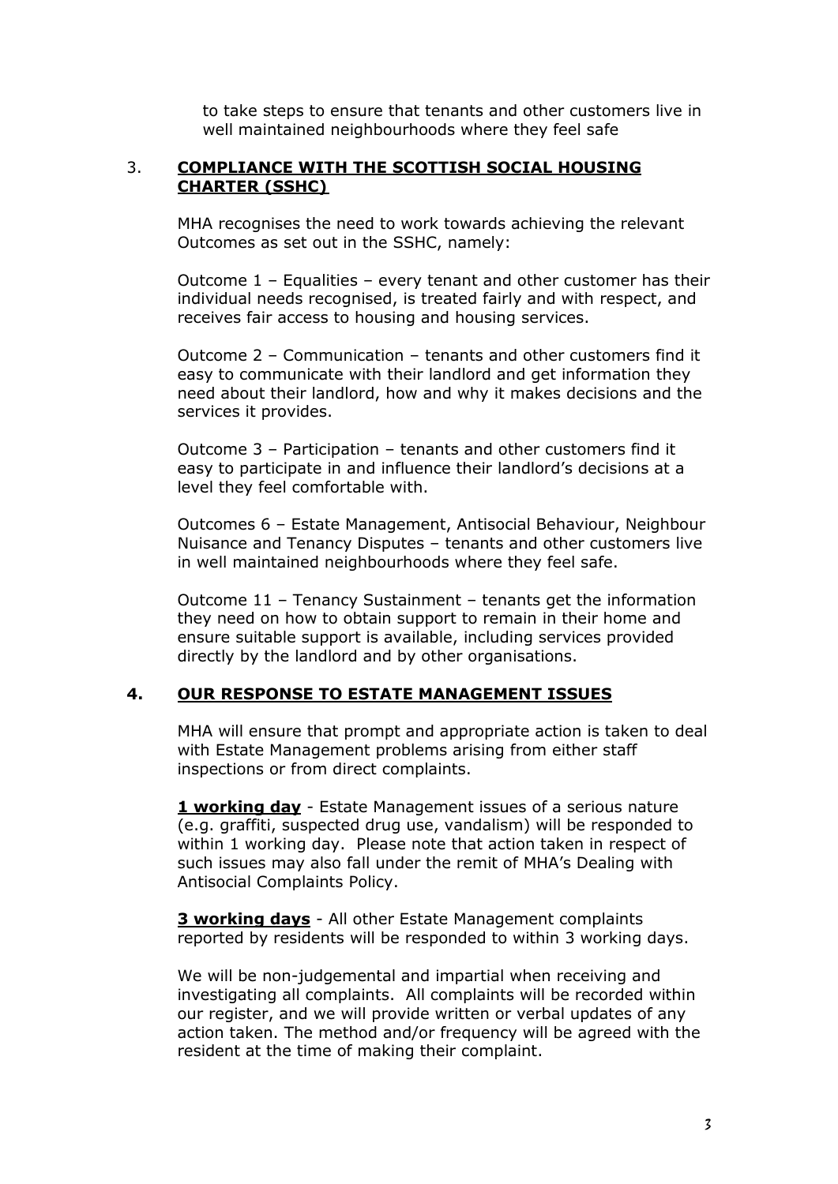to take steps to ensure that tenants and other customers live in well maintained neighbourhoods where they feel safe

#### 3. **COMPLIANCE WITH THE SCOTTISH SOCIAL HOUSING CHARTER (SSHC)**

MHA recognises the need to work towards achieving the relevant Outcomes as set out in the SSHC, namely:

Outcome 1 – Equalities – every tenant and other customer has their individual needs recognised, is treated fairly and with respect, and receives fair access to housing and housing services.

Outcome 2 – Communication – tenants and other customers find it easy to communicate with their landlord and get information they need about their landlord, how and why it makes decisions and the services it provides.

Outcome 3 – Participation – tenants and other customers find it easy to participate in and influence their landlord's decisions at a level they feel comfortable with.

Outcomes 6 – Estate Management, Antisocial Behaviour, Neighbour Nuisance and Tenancy Disputes – tenants and other customers live in well maintained neighbourhoods where they feel safe.

Outcome 11 – Tenancy Sustainment – tenants get the information they need on how to obtain support to remain in their home and ensure suitable support is available, including services provided directly by the landlord and by other organisations.

#### **4. OUR RESPONSE TO ESTATE MANAGEMENT ISSUES**

MHA will ensure that prompt and appropriate action is taken to deal with Estate Management problems arising from either staff inspections or from direct complaints.

**1 working day** - Estate Management issues of a serious nature (e.g. graffiti, suspected drug use, vandalism) will be responded to within 1 working day. Please note that action taken in respect of such issues may also fall under the remit of MHA's Dealing with Antisocial Complaints Policy.

**3 working days** - All other Estate Management complaints reported by residents will be responded to within 3 working days.

We will be non-judgemental and impartial when receiving and investigating all complaints. All complaints will be recorded within our register, and we will provide written or verbal updates of any action taken. The method and/or frequency will be agreed with the resident at the time of making their complaint.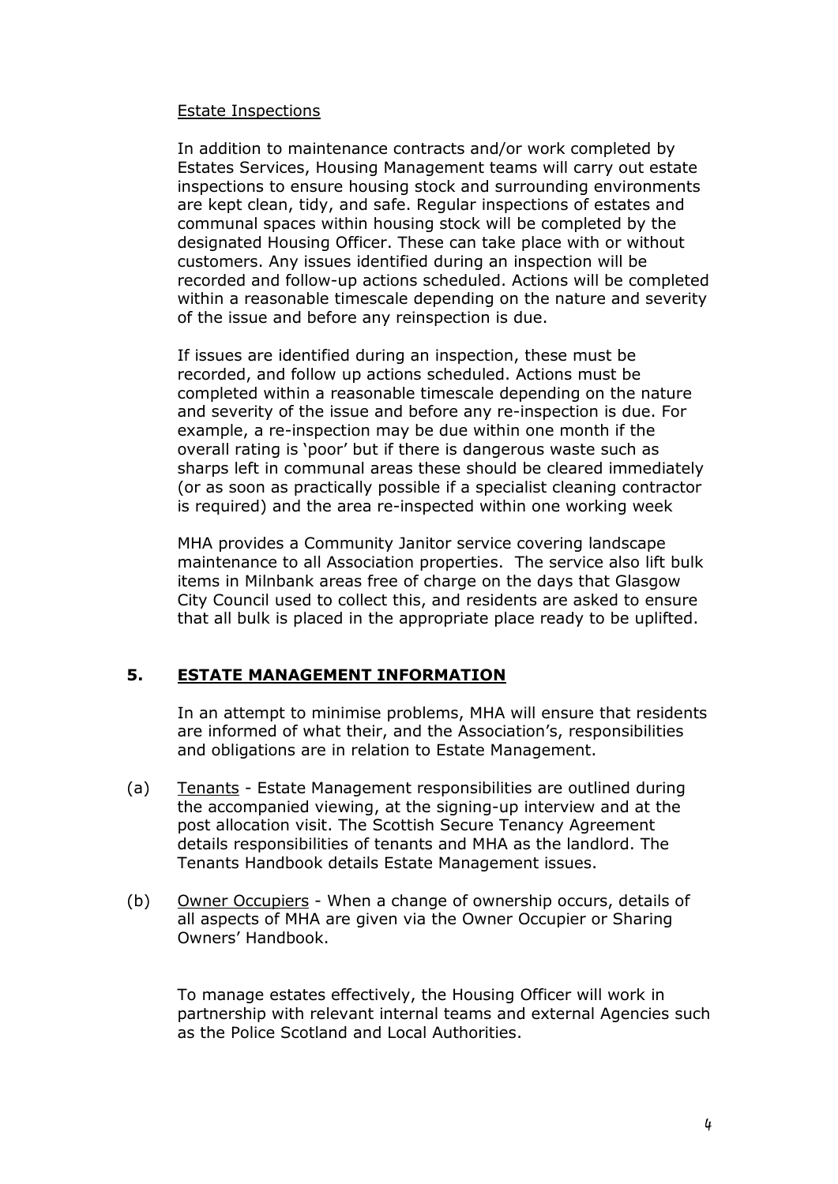#### Estate Inspections

In addition to maintenance contracts and/or work completed by Estates Services, Housing Management teams will carry out estate inspections to ensure housing stock and surrounding environments are kept clean, tidy, and safe. Regular inspections of estates and communal spaces within housing stock will be completed by the designated Housing Officer. These can take place with or without customers. Any issues identified during an inspection will be recorded and follow-up actions scheduled. Actions will be completed within a reasonable timescale depending on the nature and severity of the issue and before any reinspection is due.

If issues are identified during an inspection, these must be recorded, and follow up actions scheduled. Actions must be completed within a reasonable timescale depending on the nature and severity of the issue and before any re-inspection is due. For example, a re-inspection may be due within one month if the overall rating is 'poor' but if there is dangerous waste such as sharps left in communal areas these should be cleared immediately (or as soon as practically possible if a specialist cleaning contractor is required) and the area re-inspected within one working week

MHA provides a Community Janitor service covering landscape maintenance to all Association properties. The service also lift bulk items in Milnbank areas free of charge on the days that Glasgow City Council used to collect this, and residents are asked to ensure that all bulk is placed in the appropriate place ready to be uplifted.

## **5. ESTATE MANAGEMENT INFORMATION**

In an attempt to minimise problems, MHA will ensure that residents are informed of what their, and the Association's, responsibilities and obligations are in relation to Estate Management.

- (a) Tenants Estate Management responsibilities are outlined during the accompanied viewing, at the signing-up interview and at the post allocation visit. The Scottish Secure Tenancy Agreement details responsibilities of tenants and MHA as the landlord. The Tenants Handbook details Estate Management issues.
- (b) Owner Occupiers When a change of ownership occurs, details of all aspects of MHA are given via the Owner Occupier or Sharing Owners' Handbook.

To manage estates effectively, the Housing Officer will work in partnership with relevant internal teams and external Agencies such as the Police Scotland and Local Authorities.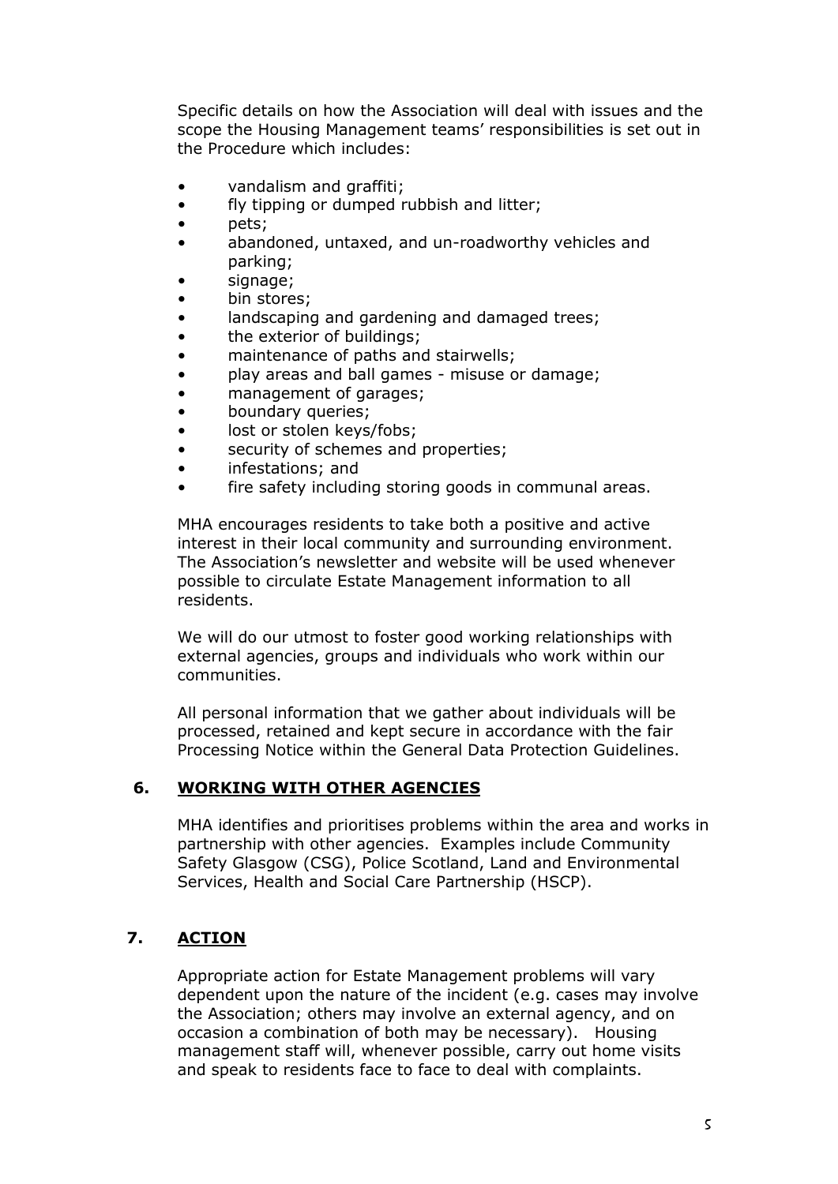Specific details on how the Association will deal with issues and the scope the Housing Management teams' responsibilities is set out in the Procedure which includes:

- vandalism and graffiti;
- fly tipping or dumped rubbish and litter;
- pets;
- abandoned, untaxed, and un-roadworthy vehicles and parking;
- signage;
- bin stores;
- landscaping and gardening and damaged trees;
- the exterior of buildings;
- maintenance of paths and stairwells;
- play areas and ball games misuse or damage;
- management of garages;
- boundary queries;
- lost or stolen keys/fobs;
- security of schemes and properties;
- infestations; and
- fire safety including storing goods in communal areas.

MHA encourages residents to take both a positive and active interest in their local community and surrounding environment. The Association's newsletter and website will be used whenever possible to circulate Estate Management information to all residents.

We will do our utmost to foster good working relationships with external agencies, groups and individuals who work within our communities.

All personal information that we gather about individuals will be processed, retained and kept secure in accordance with the fair Processing Notice within the General Data Protection Guidelines.

#### **6. WORKING WITH OTHER AGENCIES**

MHA identifies and prioritises problems within the area and works in partnership with other agencies. Examples include Community Safety Glasgow (CSG), Police Scotland, Land and Environmental Services, Health and Social Care Partnership (HSCP).

## **7. ACTION**

Appropriate action for Estate Management problems will vary dependent upon the nature of the incident (e.g. cases may involve the Association; others may involve an external agency, and on occasion a combination of both may be necessary). Housing management staff will, whenever possible, carry out home visits and speak to residents face to face to deal with complaints.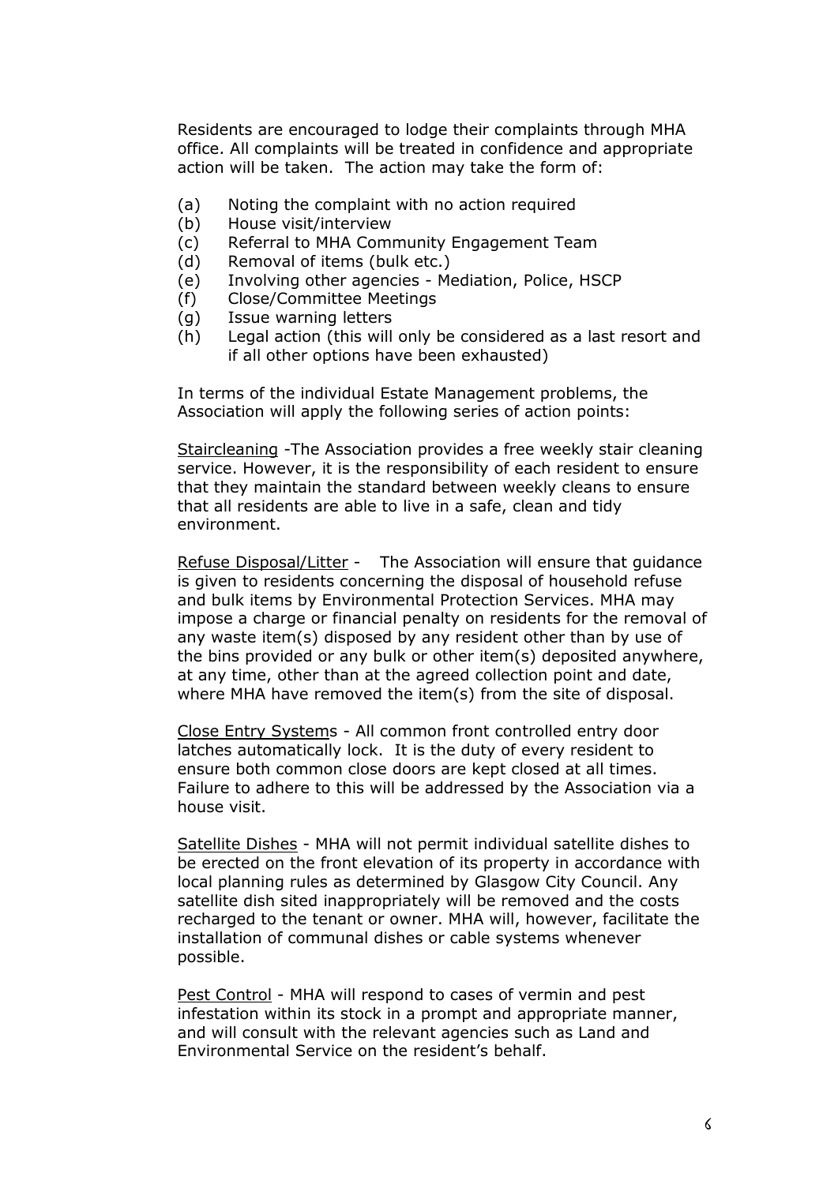Residents are encouraged to lodge their complaints through MHA office. All complaints will be treated in confidence and appropriate action will be taken. The action may take the form of:

- (a) Noting the complaint with no action required
- (b) House visit/interview
- (c) Referral to MHA Community Engagement Team
- (d) Removal of items (bulk etc.)
- (e) Involving other agencies Mediation, Police, HSCP
- (f) Close/Committee Meetings
- (g) Issue warning letters
- (h) Legal action (this will only be considered as a last resort and if all other options have been exhausted)

In terms of the individual Estate Management problems, the Association will apply the following series of action points:

Staircleaning -The Association provides a free weekly stair cleaning service. However, it is the responsibility of each resident to ensure that they maintain the standard between weekly cleans to ensure that all residents are able to live in a safe, clean and tidy environment.

Refuse Disposal/Litter - The Association will ensure that guidance is given to residents concerning the disposal of household refuse and bulk items by Environmental Protection Services. MHA may impose a charge or financial penalty on residents for the removal of any waste item(s) disposed by any resident other than by use of the bins provided or any bulk or other item(s) deposited anywhere, at any time, other than at the agreed collection point and date, where MHA have removed the item(s) from the site of disposal.

Close Entry Systems - All common front controlled entry door latches automatically lock. It is the duty of every resident to ensure both common close doors are kept closed at all times. Failure to adhere to this will be addressed by the Association via a house visit.

Satellite Dishes - MHA will not permit individual satellite dishes to be erected on the front elevation of its property in accordance with local planning rules as determined by Glasgow City Council. Any satellite dish sited inappropriately will be removed and the costs recharged to the tenant or owner. MHA will, however, facilitate the installation of communal dishes or cable systems whenever possible.

Pest Control - MHA will respond to cases of vermin and pest infestation within its stock in a prompt and appropriate manner, and will consult with the relevant agencies such as Land and Environmental Service on the resident's behalf.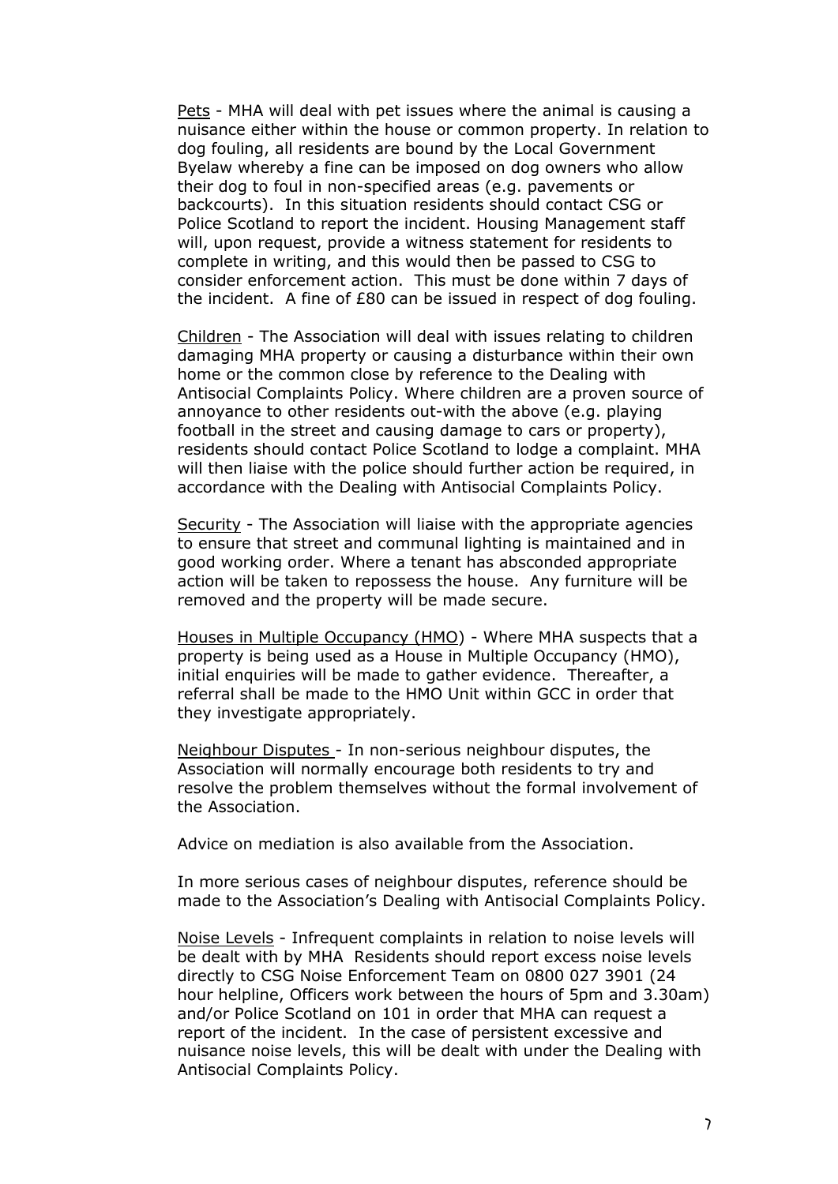Pets - MHA will deal with pet issues where the animal is causing a nuisance either within the house or common property. In relation to dog fouling, all residents are bound by the Local Government Byelaw whereby a fine can be imposed on dog owners who allow their dog to foul in non-specified areas (e.g. pavements or backcourts). In this situation residents should contact CSG or Police Scotland to report the incident. Housing Management staff will, upon request, provide a witness statement for residents to complete in writing, and this would then be passed to CSG to consider enforcement action. This must be done within 7 days of the incident. A fine of £80 can be issued in respect of dog fouling.

Children - The Association will deal with issues relating to children damaging MHA property or causing a disturbance within their own home or the common close by reference to the Dealing with Antisocial Complaints Policy. Where children are a proven source of annoyance to other residents out-with the above (e.g. playing football in the street and causing damage to cars or property), residents should contact Police Scotland to lodge a complaint. MHA will then liaise with the police should further action be required, in accordance with the Dealing with Antisocial Complaints Policy.

Security - The Association will liaise with the appropriate agencies to ensure that street and communal lighting is maintained and in good working order. Where a tenant has absconded appropriate action will be taken to repossess the house. Any furniture will be removed and the property will be made secure.

Houses in Multiple Occupancy (HMO) - Where MHA suspects that a property is being used as a House in Multiple Occupancy (HMO), initial enquiries will be made to gather evidence. Thereafter, a referral shall be made to the HMO Unit within GCC in order that they investigate appropriately.

Neighbour Disputes - In non-serious neighbour disputes, the Association will normally encourage both residents to try and resolve the problem themselves without the formal involvement of the Association.

Advice on mediation is also available from the Association.

In more serious cases of neighbour disputes, reference should be made to the Association's Dealing with Antisocial Complaints Policy.

Noise Levels - Infrequent complaints in relation to noise levels will be dealt with by MHA Residents should report excess noise levels directly to CSG Noise Enforcement Team on 0800 027 3901 (24 hour helpline, Officers work between the hours of 5pm and 3.30am) and/or Police Scotland on 101 in order that MHA can request a report of the incident. In the case of persistent excessive and nuisance noise levels, this will be dealt with under the Dealing with Antisocial Complaints Policy.